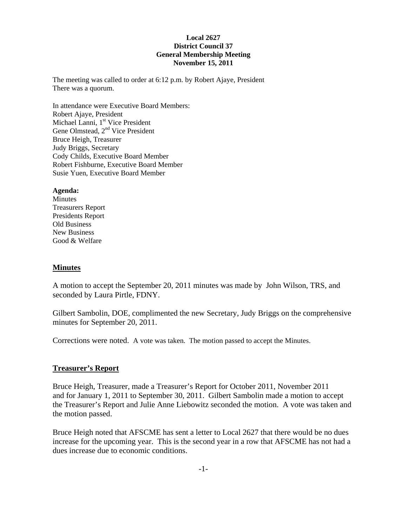### **Local 2627 District Council 37 General Membership Meeting November 15, 2011**

The meeting was called to order at 6:12 p.m. by Robert Ajaye, President There was a quorum.

In attendance were Executive Board Members: Robert Ajaye, President Michael Lanni, 1<sup>st</sup> Vice President Gene Olmstead, 2<sup>nd</sup> Vice President Bruce Heigh, Treasurer Judy Briggs, Secretary Cody Childs, Executive Board Member Robert Fishburne, Executive Board Member Susie Yuen, Executive Board Member

### **Agenda:**

**Minutes** Treasurers Report Presidents Report Old Business New Business Good & Welfare

## **Minutes**

A motion to accept the September 20, 2011 minutes was made by John Wilson, TRS, and seconded by Laura Pirtle, FDNY.

Gilbert Sambolin, DOE, complimented the new Secretary, Judy Briggs on the comprehensive minutes for September 20, 2011.

Corrections were noted. A vote was taken. The motion passed to accept the Minutes.

## **Treasurer's Report**

Bruce Heigh, Treasurer, made a Treasurer's Report for October 2011, November 2011 and for January 1, 2011 to September 30, 2011. Gilbert Sambolin made a motion to accept the Treasurer's Report and Julie Anne Liebowitz seconded the motion. A vote was taken and the motion passed.

Bruce Heigh noted that AFSCME has sent a letter to Local 2627 that there would be no dues increase for the upcoming year. This is the second year in a row that AFSCME has not had a dues increase due to economic conditions.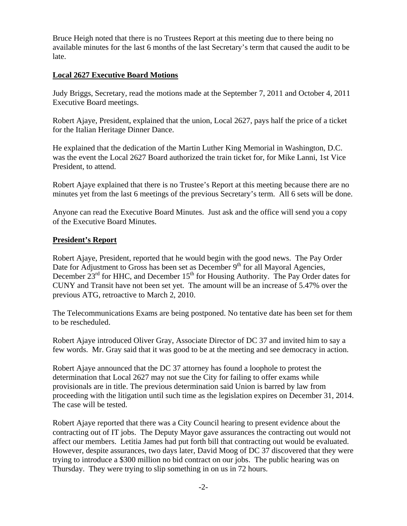Bruce Heigh noted that there is no Trustees Report at this meeting due to there being no available minutes for the last 6 months of the last Secretary's term that caused the audit to be late.

# **Local 2627 Executive Board Motions**

Judy Briggs, Secretary, read the motions made at the September 7, 2011 and October 4, 2011 Executive Board meetings.

Robert Ajaye, President, explained that the union, Local 2627, pays half the price of a ticket for the Italian Heritage Dinner Dance.

He explained that the dedication of the Martin Luther King Memorial in Washington, D.C. was the event the Local 2627 Board authorized the train ticket for, for Mike Lanni, 1st Vice President, to attend.

Robert Ajaye explained that there is no Trustee's Report at this meeting because there are no minutes yet from the last 6 meetings of the previous Secretary's term. All 6 sets will be done.

Anyone can read the Executive Board Minutes. Just ask and the office will send you a copy of the Executive Board Minutes.

# **President's Report**

Robert Ajaye, President, reported that he would begin with the good news. The Pay Order Date for Adjustment to Gross has been set as December  $9<sup>th</sup>$  for all Mayoral Agencies, December  $23<sup>rd</sup>$  for HHC, and December  $15<sup>th</sup>$  for Housing Authority. The Pay Order dates for CUNY and Transit have not been set yet. The amount will be an increase of 5.47% over the previous ATG, retroactive to March 2, 2010.

The Telecommunications Exams are being postponed. No tentative date has been set for them to be rescheduled.

Robert Ajaye introduced Oliver Gray, Associate Director of DC 37 and invited him to say a few words. Mr. Gray said that it was good to be at the meeting and see democracy in action.

Robert Ajaye announced that the DC 37 attorney has found a loophole to protest the determination that Local 2627 may not sue the City for failing to offer exams while provisionals are in title. The previous determination said Union is barred by law from proceeding with the litigation until such time as the legislation expires on December 31, 2014. The case will be tested.

Robert Ajaye reported that there was a City Council hearing to present evidence about the contracting out of IT jobs. The Deputy Mayor gave assurances the contracting out would not affect our members. Letitia James had put forth bill that contracting out would be evaluated. However, despite assurances, two days later, David Moog of DC 37 discovered that they were trying to introduce a \$300 million no bid contract on our jobs. The public hearing was on Thursday. They were trying to slip something in on us in 72 hours.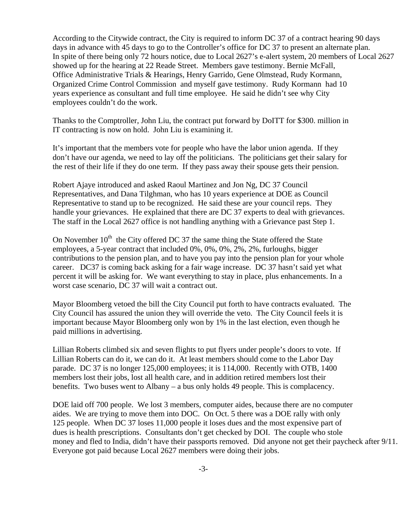According to the Citywide contract, the City is required to inform DC 37 of a contract hearing 90 days days in advance with 45 days to go to the Controller's office for DC 37 to present an alternate plan. In spite of there being only 72 hours notice, due to Local 2627's e-alert system, 20 members of Local 2627 showed up for the hearing at 22 Reade Street. Members gave testimony. Bernie McFall, Office Administrative Trials & Hearings, Henry Garrido, Gene Olmstead, Rudy Kormann, Organized Crime Control Commission and myself gave testimony. Rudy Kormann had 10 years experience as consultant and full time employee. He said he didn't see why City employees couldn't do the work.

Thanks to the Comptroller, John Liu, the contract put forward by DoITT for \$300. million in IT contracting is now on hold. John Liu is examining it.

It's important that the members vote for people who have the labor union agenda. If they don't have our agenda, we need to lay off the politicians. The politicians get their salary for the rest of their life if they do one term. If they pass away their spouse gets their pension.

Robert Ajaye introduced and asked Raoul Martinez and Jon Ng, DC 37 Council Representatives, and Dana Tilghman, who has 10 years experience at DOE as Council Representative to stand up to be recognized. He said these are your council reps. They handle your grievances. He explained that there are DC 37 experts to deal with grievances. The staff in the Local 2627 office is not handling anything with a Grievance past Step 1.

On November  $10<sup>th</sup>$  the City offered DC 37 the same thing the State offered the State employees, a 5-year contract that included 0%, 0%, 0%, 2%, 2%, furloughs, bigger contributions to the pension plan, and to have you pay into the pension plan for your whole career. DC37 is coming back asking for a fair wage increase. DC 37 hasn't said yet what percent it will be asking for. We want everything to stay in place, plus enhancements. In a worst case scenario, DC 37 will wait a contract out.

Mayor Bloomberg vetoed the bill the City Council put forth to have contracts evaluated. The City Council has assured the union they will override the veto. The City Council feels it is important because Mayor Bloomberg only won by 1% in the last election, even though he paid millions in advertising.

Lillian Roberts climbed six and seven flights to put flyers under people's doors to vote. If Lillian Roberts can do it, we can do it. At least members should come to the Labor Day parade. DC 37 is no longer 125,000 employees; it is 114,000. Recently with OTB, 1400 members lost their jobs, lost all health care, and in addition retired members lost their benefits. Two buses went to Albany – a bus only holds 49 people. This is complacency.

DOE laid off 700 people. We lost 3 members, computer aides, because there are no computer aides. We are trying to move them into DOC. On Oct. 5 there was a DOE rally with only 125 people. When DC 37 loses 11,000 people it loses dues and the most expensive part of dues is health prescriptions. Consultants don't get checked by DOI. The couple who stole money and fled to India, didn't have their passports removed. Did anyone not get their paycheck after 9/11. Everyone got paid because Local 2627 members were doing their jobs.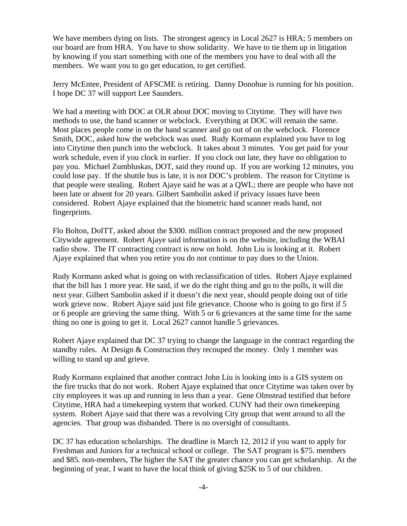We have members dying on lists. The strongest agency in Local 2627 is HRA; 5 members on our board are from HRA. You have to show solidarity. We have to tie them up in litigation by knowing if you start something with one of the members you have to deal with all the members. We want you to go get education, to get certified.

Jerry McEntee, President of AFSCME is retiring. Danny Donohue is running for his position. I hope DC 37 will support Lee Saunders.

We had a meeting with DOC at OLR about DOC moving to Citytime. They will have two methods to use, the hand scanner or webclock. Everything at DOC will remain the same. Most places people come in on the hand scanner and go out of on the webclock. Florence Smith, DOC, asked how the webclock was used. Rudy Kormann explained you have to log into Citytime then punch into the webclock. It takes about 3 minutes. You get paid for your work schedule, even if you clock in earlier. If you clock out late, they have no obligation to pay you. Michael Zumbluskas, DOT, said they round up. If you are working 12 minutes, you could lose pay. If the shuttle bus is late, it is not DOC's problem. The reason for Citytime is that people were stealing. Robert Ajaye said he was at a QWL; there are people who have not been late or absent for 20 years. Gilbert Sambolin asked if privacy issues have been considered. Robert Ajaye explained that the biometric hand scanner reads hand, not fingerprints.

Flo Bolton, DoITT, asked about the \$300. million contract proposed and the new proposed Citywide agreement. Robert Ajaye said information is on the website, including the WBAI radio show. The IT contracting contract is now on hold. John Liu is looking at it. Robert Ajaye explained that when you retire you do not continue to pay dues to the Union.

Rudy Kormann asked what is going on with reclassification of titles. Robert Ajaye explained that the bill has 1 more year. He said, if we do the right thing and go to the polls, it will die next year. Gilbert Sambolin asked if it doesn't die next year, should people doing out of title work grieve now. Robert Ajaye said just file grievance. Choose who is going to go first if 5 or 6 people are grieving the same thing. With 5 or 6 grievances at the same time for the same thing no one is going to get it. Local 2627 cannot handle 5 grievances.

Robert Ajaye explained that DC 37 trying to change the language in the contract regarding the standby rules. At Design & Construction they recouped the money. Only 1 member was willing to stand up and grieve.

Rudy Kormann explained that another contract John Liu is looking into is a GIS system on the fire trucks that do not work. Robert Ajaye explained that once Citytime was taken over by city employees it was up and running in less than a year. Gene Olmstead testified that before Citytime, HRA had a timekeeping system that worked. CUNY had their own timekeeping system. Robert Ajaye said that there was a revolving City group that went around to all the agencies. That group was disbanded. There is no oversight of consultants.

DC 37 has education scholarships. The deadline is March 12, 2012 if you want to apply for Freshman and Juniors for a technical school or college. The SAT program is \$75. members and \$85. non-members, The higher the SAT the greater chance you can get scholarship. At the beginning of year, I want to have the local think of giving \$25K to 5 of our children.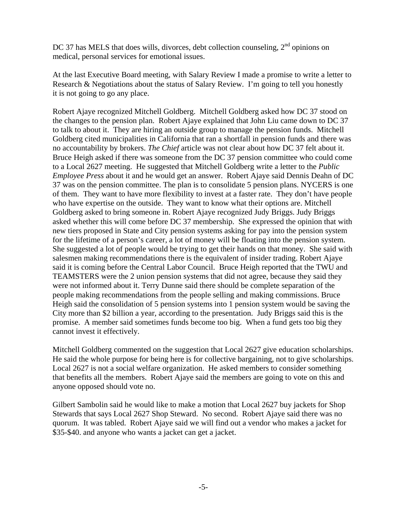DC 37 has MELS that does wills, divorces, debt collection counseling, 2<sup>nd</sup> opinions on medical, personal services for emotional issues.

At the last Executive Board meeting, with Salary Review I made a promise to write a letter to Research & Negotiations about the status of Salary Review. I'm going to tell you honestly it is not going to go any place.

Robert Ajaye recognized Mitchell Goldberg. Mitchell Goldberg asked how DC 37 stood on the changes to the pension plan. Robert Ajaye explained that John Liu came down to DC 37 to talk to about it. They are hiring an outside group to manage the pension funds. Mitchell Goldberg cited municipalities in California that ran a shortfall in pension funds and there was no accountability by brokers. *The Chief* article was not clear about how DC 37 felt about it. Bruce Heigh asked if there was someone from the DC 37 pension committee who could come to a Local 2627 meeting. He suggested that Mitchell Goldberg write a letter to the *Public Employee Press* about it and he would get an answer. Robert Ajaye said Dennis Deahn of DC 37 was on the pension committee. The plan is to consolidate 5 pension plans. NYCERS is one of them. They want to have more flexibility to invest at a faster rate. They don't have people who have expertise on the outside. They want to know what their options are. Mitchell Goldberg asked to bring someone in. Robert Ajaye recognized Judy Briggs. Judy Briggs asked whether this will come before DC 37 membership. She expressed the opinion that with new tiers proposed in State and City pension systems asking for pay into the pension system for the lifetime of a person's career, a lot of money will be floating into the pension system. She suggested a lot of people would be trying to get their hands on that money. She said with salesmen making recommendations there is the equivalent of insider trading. Robert Ajaye said it is coming before the Central Labor Council. Bruce Heigh reported that the TWU and TEAMSTERS were the 2 union pension systems that did not agree, because they said they were not informed about it. Terry Dunne said there should be complete separation of the people making recommendations from the people selling and making commissions. Bruce Heigh said the consolidation of 5 pension systems into 1 pension system would be saving the City more than \$2 billion a year, according to the presentation. Judy Briggs said this is the promise. A member said sometimes funds become too big. When a fund gets too big they cannot invest it effectively.

Mitchell Goldberg commented on the suggestion that Local 2627 give education scholarships. He said the whole purpose for being here is for collective bargaining, not to give scholarships. Local 2627 is not a social welfare organization. He asked members to consider something that benefits all the members. Robert Ajaye said the members are going to vote on this and anyone opposed should vote no.

Gilbert Sambolin said he would like to make a motion that Local 2627 buy jackets for Shop Stewards that says Local 2627 Shop Steward. No second. Robert Ajaye said there was no quorum. It was tabled. Robert Ajaye said we will find out a vendor who makes a jacket for \$35-\$40. and anyone who wants a jacket can get a jacket.